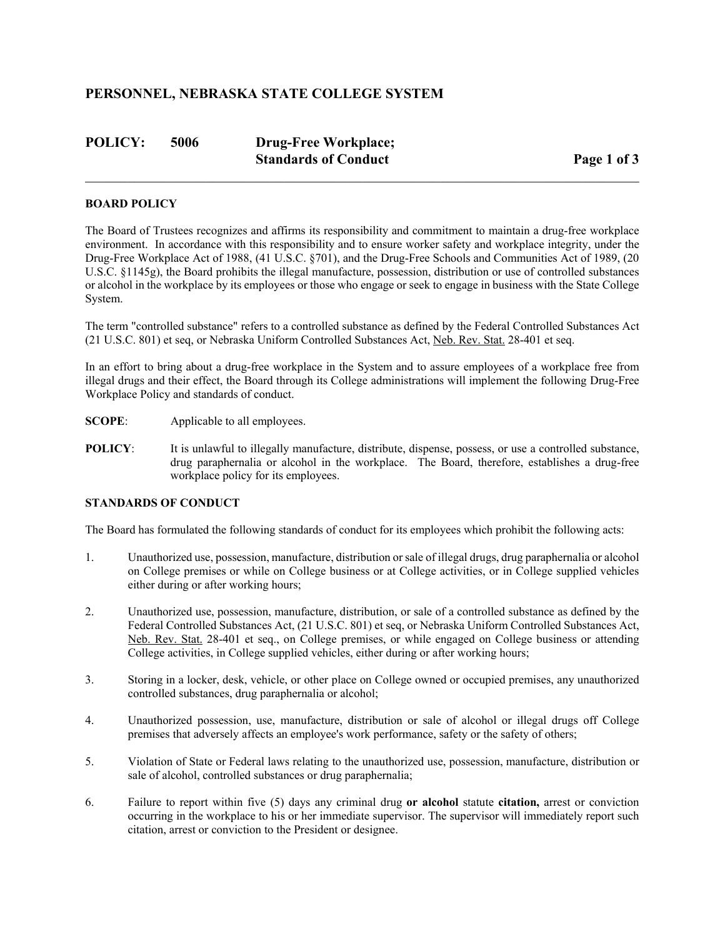## **PERSONNEL, NEBRASKA STATE COLLEGE SYSTEM**

| <b>POLICY:</b> | 5006 | <b>Drug-Free Workplace;</b> |             |
|----------------|------|-----------------------------|-------------|
|                |      | <b>Standards of Conduct</b> | Page 1 of 3 |

#### **BOARD POLICY**

The Board of Trustees recognizes and affirms its responsibility and commitment to maintain a drug-free workplace environment. In accordance with this responsibility and to ensure worker safety and workplace integrity, under the Drug-Free Workplace Act of 1988, (41 U.S.C. §701), and the Drug-Free Schools and Communities Act of 1989, (20 U.S.C. §1145g), the Board prohibits the illegal manufacture, possession, distribution or use of controlled substances or alcohol in the workplace by its employees or those who engage or seek to engage in business with the State College System.

The term "controlled substance" refers to a controlled substance as defined by the Federal Controlled Substances Act (21 U.S.C. 801) et seq, or Nebraska Uniform Controlled Substances Act, Neb. Rev. Stat. 28-401 et seq.

In an effort to bring about a drug-free workplace in the System and to assure employees of a workplace free from illegal drugs and their effect, the Board through its College administrations will implement the following Drug-Free Workplace Policy and standards of conduct.

- **SCOPE:** Applicable to all employees.
- **POLICY:** It is unlawful to illegally manufacture, distribute, dispense, possess, or use a controlled substance, drug paraphernalia or alcohol in the workplace. The Board, therefore, establishes a drug-free workplace policy for its employees.

#### **STANDARDS OF CONDUCT**

The Board has formulated the following standards of conduct for its employees which prohibit the following acts:

- 1. Unauthorized use, possession, manufacture, distribution or sale of illegal drugs, drug paraphernalia or alcohol on College premises or while on College business or at College activities, or in College supplied vehicles either during or after working hours;
- 2. Unauthorized use, possession, manufacture, distribution, or sale of a controlled substance as defined by the Federal Controlled Substances Act, (21 U.S.C. 801) et seq, or Nebraska Uniform Controlled Substances Act, Neb. Rev. Stat. 28-401 et seq., on College premises, or while engaged on College business or attending College activities, in College supplied vehicles, either during or after working hours;
- 3. Storing in a locker, desk, vehicle, or other place on College owned or occupied premises, any unauthorized controlled substances, drug paraphernalia or alcohol;
- 4. Unauthorized possession, use, manufacture, distribution or sale of alcohol or illegal drugs off College premises that adversely affects an employee's work performance, safety or the safety of others;
- 5. Violation of State or Federal laws relating to the unauthorized use, possession, manufacture, distribution or sale of alcohol, controlled substances or drug paraphernalia;
- 6. Failure to report within five (5) days any criminal drug **or alcohol** statute **citation,** arrest or conviction occurring in the workplace to his or her immediate supervisor. The supervisor will immediately report such citation, arrest or conviction to the President or designee.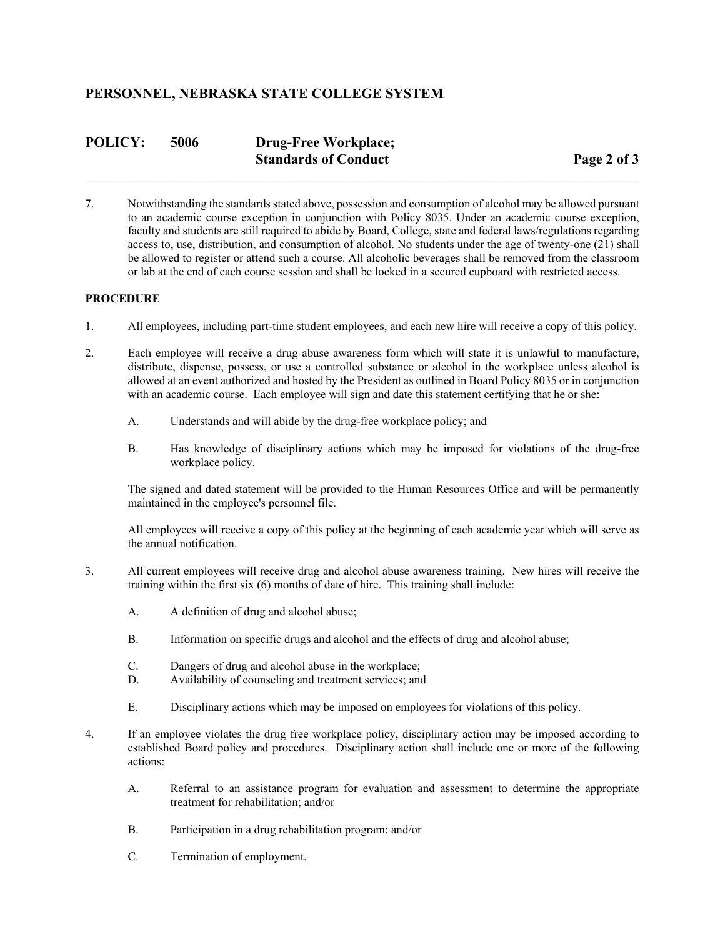## **PERSONNEL, NEBRASKA STATE COLLEGE SYSTEM**

| <b>POLICY:</b> | 5006 | <b>Drug-Free Workplace;</b> |             |
|----------------|------|-----------------------------|-------------|
|                |      | <b>Standards of Conduct</b> | Page 2 of 3 |

7. Notwithstanding the standards stated above, possession and consumption of alcohol may be allowed pursuant to an academic course exception in conjunction with Policy 8035. Under an academic course exception, faculty and students are still required to abide by Board, College, state and federal laws/regulations regarding access to, use, distribution, and consumption of alcohol. No students under the age of twenty-one (21) shall be allowed to register or attend such a course. All alcoholic beverages shall be removed from the classroom or lab at the end of each course session and shall be locked in a secured cupboard with restricted access.

#### **PROCEDURE**

- 1. All employees, including part-time student employees, and each new hire will receive a copy of this policy.
- 2. Each employee will receive a drug abuse awareness form which will state it is unlawful to manufacture, distribute, dispense, possess, or use a controlled substance or alcohol in the workplace unless alcohol is allowed at an event authorized and hosted by the President as outlined in Board Policy 8035 or in conjunction with an academic course. Each employee will sign and date this statement certifying that he or she:
	- A. Understands and will abide by the drug-free workplace policy; and
	- B. Has knowledge of disciplinary actions which may be imposed for violations of the drug-free workplace policy.

The signed and dated statement will be provided to the Human Resources Office and will be permanently maintained in the employee's personnel file.

All employees will receive a copy of this policy at the beginning of each academic year which will serve as the annual notification.

- 3. All current employees will receive drug and alcohol abuse awareness training. New hires will receive the training within the first six (6) months of date of hire. This training shall include:
	- A. A definition of drug and alcohol abuse;
	- B. Information on specific drugs and alcohol and the effects of drug and alcohol abuse;
	- C. Dangers of drug and alcohol abuse in the workplace;
	- D. Availability of counseling and treatment services; and
	- E. Disciplinary actions which may be imposed on employees for violations of this policy.
- 4. If an employee violates the drug free workplace policy, disciplinary action may be imposed according to established Board policy and procedures. Disciplinary action shall include one or more of the following actions:
	- A. Referral to an assistance program for evaluation and assessment to determine the appropriate treatment for rehabilitation; and/or
	- B. Participation in a drug rehabilitation program; and/or
	- C. Termination of employment.